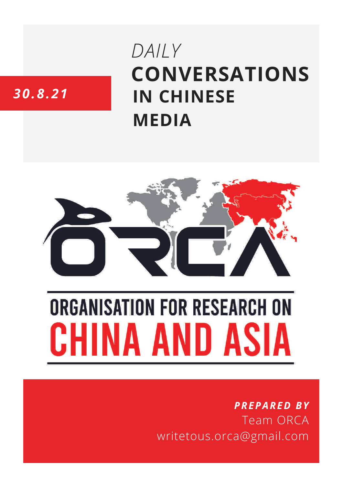# **CONVERSATIONS IN CHINESE MEDIA** *DAILY*

# *30.8.21*



# **ORGANISATION FOR RESEARCH ON** HINA AND ASIA

## *PREPARED BY* Team ORCA writetous.orca@gmail.com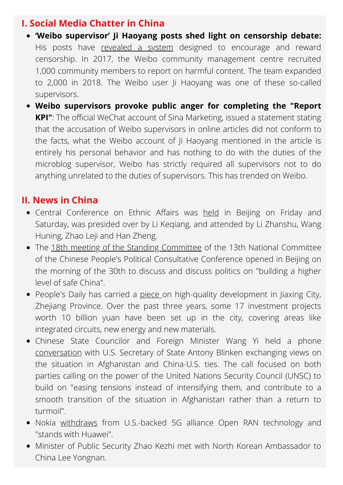#### **I. Social Media Chatter in China**

- **'Weibo supervisor' Ji Haoyang posts shed light on censorship debate:** His posts have [revealed](https://globalvoices.org/2021/09/02/chinese-netizens-identify-the-weibo-supervisor-system-as-a-source-of-arbitrary-censorship/) a system designed to encourage and reward censorship. In 2017, the Weibo community [management](https://www.scmp.com/news/china/politics/article/3146809/sino-weibo-sacks-censor-over-online-attack-bereaved-user) centre recruited 1,000 community members to report on harmful content. The team expanded to 2,000 in 2018. The Weibo user Ji Haoyang was one of these so-called supervisors.
- **Weibo supervisors provoke public anger for completing the "Report KPI"**: The official WeChat account of Sina Marketing, issued a statement stating that the accusation of Weibo supervisors in online articles did not conform to the facts, what the Weibo account of Ji Haoyang mentioned in the article is entirely his personal behavior and has nothing to do with the duties of the microblog supervisor, Weibo has strictly required all supervisors not to do anything unrelated to the duties of supervisors. This has trended on Weibo.

#### **II. News in China**

- Central Conference on Ethnic Affairs was [held](http://www.news.cn/english/2021-08/28/c_1310154568.htm) in Beijing on Friday and Saturday, was presided over by Li Keqiang, and attended by Li Zhanshu, Wang Huning, Zhao Leji and Han Zheng.
- The 18th meeting of the Standing [Committee](http://politics.people.com.cn/n1/2021/0830/c1024-32212681.html) of the 13th National Committee of the Chinese People's Political Consultative Conference opened in Beijing on the morning of the 30th to discuss and discuss politics on "building a higher level of safe China".
- People's Daily has carried a [piece](http://paper.people.com.cn/rmrb/html/2021-08/30/nw.D110000renmrb_20210830_1-01.htm) on high-quality development in Jiaxing City, Zhejiang Province. Over the past three years, some 17 investment projects worth 10 billion yuan have been set up in the city, covering areas like integrated circuits, new energy and new materials.
- Chinese State Councilor and Foreign Minister Wang Yi held a phone [conversation](http://www.news.cn/english/2021-08/30/c_1310156003.htm) with U.S. Secretary of State Antony Blinken exchanging views on the situation in Afghanistan and China-U.S. ties. The call focused on both parties calling on the power of the United Nations Security Council (UNSC) to build on "easing tensions instead of intensifying them, and contribute to a smooth transition of the situation in Afghanistan rather than a return to turmoil".
- Nokia [withdraws](https://whatchinareads.com/article.php?article_id=235140) from U.S.-backed 5G alliance Open RAN technology and "stands with Huawei".
- Minister of Public Security Zhao Kezhi met with North Korean Ambassador to China Lee Yongnan.